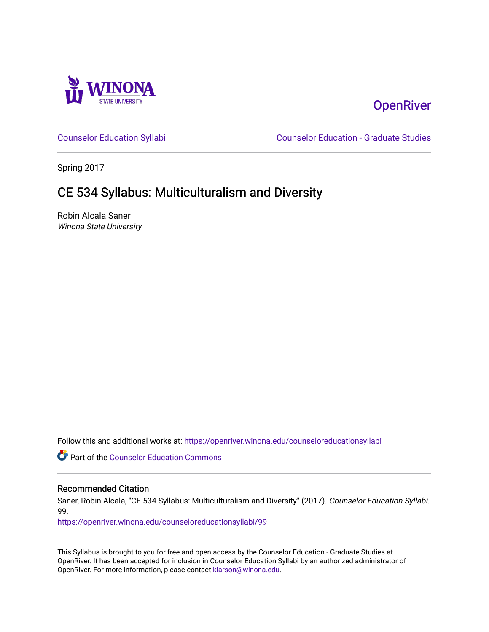

# **OpenRiver**

[Counselor Education Syllabi](https://openriver.winona.edu/counseloreducationsyllabi) [Counselor Education - Graduate Studies](https://openriver.winona.edu/counseloreducation) 

Spring 2017

# CE 534 Syllabus: Multiculturalism and Diversity

Robin Alcala Saner Winona State University

Follow this and additional works at: [https://openriver.winona.edu/counseloreducationsyllabi](https://openriver.winona.edu/counseloreducationsyllabi?utm_source=openriver.winona.edu%2Fcounseloreducationsyllabi%2F99&utm_medium=PDF&utm_campaign=PDFCoverPages)

Part of the [Counselor Education Commons](http://network.bepress.com/hgg/discipline/1278?utm_source=openriver.winona.edu%2Fcounseloreducationsyllabi%2F99&utm_medium=PDF&utm_campaign=PDFCoverPages) 

#### Recommended Citation

Saner, Robin Alcala, "CE 534 Syllabus: Multiculturalism and Diversity" (2017). Counselor Education Syllabi. 99.

[https://openriver.winona.edu/counseloreducationsyllabi/99](https://openriver.winona.edu/counseloreducationsyllabi/99?utm_source=openriver.winona.edu%2Fcounseloreducationsyllabi%2F99&utm_medium=PDF&utm_campaign=PDFCoverPages) 

This Syllabus is brought to you for free and open access by the Counselor Education - Graduate Studies at OpenRiver. It has been accepted for inclusion in Counselor Education Syllabi by an authorized administrator of OpenRiver. For more information, please contact [klarson@winona.edu](mailto:klarson@winona.edu).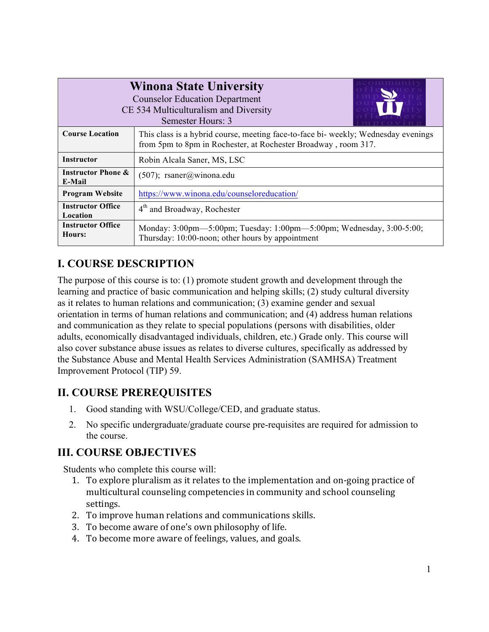| <b>Winona State University</b><br><b>Counselor Education Department</b><br>CE 534 Multiculturalism and Diversity<br>Semester Hours: 3 |                                                                                                                                                      |  |  |
|---------------------------------------------------------------------------------------------------------------------------------------|------------------------------------------------------------------------------------------------------------------------------------------------------|--|--|
| <b>Course Location</b>                                                                                                                | This class is a hybrid course, meeting face-to-face bi- weekly; Wednesday evenings<br>from 5pm to 8pm in Rochester, at Rochester Broadway, room 317. |  |  |
| <b>Instructor</b>                                                                                                                     | Robin Alcala Saner, MS, LSC                                                                                                                          |  |  |
| <b>Instructor Phone &amp;</b><br>E-Mail                                                                                               | $(507)$ ; rsaner@winona.edu                                                                                                                          |  |  |
| <b>Program Website</b>                                                                                                                | https://www.winona.edu/counseloreducation/                                                                                                           |  |  |
| <b>Instructor Office</b><br><b>Location</b>                                                                                           | $4th$ and Broadway, Rochester                                                                                                                        |  |  |
| <b>Instructor Office</b><br>Hours:                                                                                                    | Monday: 3:00pm—5:00pm; Tuesday: 1:00pm—5:00pm; Wednesday, 3:00-5:00;<br>Thursday: 10:00-noon; other hours by appointment                             |  |  |

## **I. COURSE DESCRIPTION**

The purpose of this course is to: (1) promote student growth and development through the learning and practice of basic communication and helping skills; (2) study cultural diversity as it relates to human relations and communication; (3) examine gender and sexual orientation in terms of human relations and communication; and (4) address human relations and communication as they relate to special populations (persons with disabilities, older adults, economically disadvantaged individuals, children, etc.) Grade only. This course will also cover substance abuse issues as relates to diverse cultures, specifically as addressed by the Substance Abuse and Mental Health Services Administration (SAMHSA) Treatment Improvement Protocol (TIP) 59.

### **II. COURSE PREREQUISITES**

- 1. Good standing with WSU/College/CED, and graduate status.
- 2. No specific undergraduate/graduate course pre-requisites are required for admission to the course.

### **III. COURSE OBJECTIVES**

Students who complete this course will:

- 1. To explore pluralism as it relates to the implementation and on-going practice of multicultural counseling competencies in community and school counseling settings.
- 2. To improve human relations and communications skills.
- 3. To become aware of one's own philosophy of life.
- 4. To become more aware of feelings, values, and goals.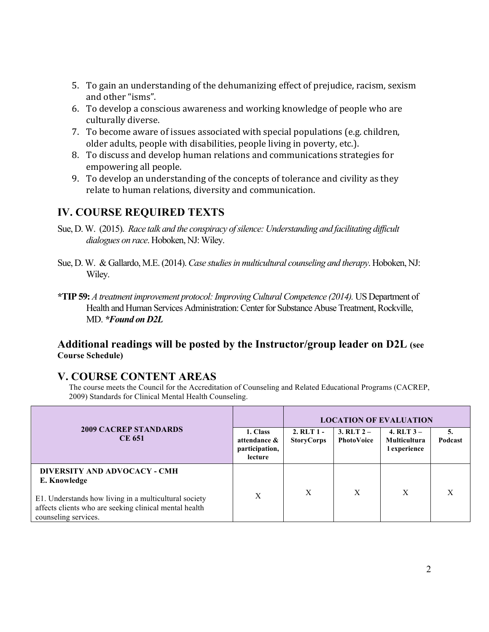- 5. To gain an understanding of the dehumanizing effect of prejudice, racism, sexism and other "isms".
- 6. To develop a conscious awareness and working knowledge of people who are culturally diverse.
- 7. To become aware of issues associated with special populations (e.g. children, older adults, people with disabilities, people living in poverty, etc.).
- 8. To discuss and develop human relations and communications strategies for empowering all people.
- 9. To develop an understanding of the concepts of tolerance and civility as they relate to human relations, diversity and communication.

### **IV. COURSE REQUIRED TEXTS**

- Sue, D. W. (2015). *Race talk and the conspiracy of silence: Understanding and facilitating difficult dialogues on race*. Hoboken, NJ: Wiley.
- Sue, D. W. & Gallardo, M.E. (2014). *Case studies in multicultural counseling and therapy*. Hoboken, NJ: Wiley.
- **\*TIP 59:** *A treatment improvement protocol: Improving Cultural Competence (2014).* US Department of Health and Human Services Administration: Center for Substance Abuse Treatment, Rockville, MD. *\*Found on D2L*

#### **Additional readings will be posted by the Instructor/group leader on D2L (see Course Schedule)**

### **V. COURSE CONTENT AREAS**

The course meets the Council for the Accreditation of Counseling and Related Educational Programs (CACREP, 2009) Standards for Clinical Mental Health Counseling.

|                                                                                                                                                                                         |                                                       | <b>LOCATION OF EVALUATION</b>       |                            |                                                     |               |
|-----------------------------------------------------------------------------------------------------------------------------------------------------------------------------------------|-------------------------------------------------------|-------------------------------------|----------------------------|-----------------------------------------------------|---------------|
| <b>2009 CACREP STANDARDS</b><br><b>CE 651</b>                                                                                                                                           | 1. Class<br>attendance &<br>participation,<br>lecture | $2.$ RLT $1 -$<br><b>StoryCorps</b> | $3. RLT 2 -$<br>PhotoVoice | 4. $RLT$ 3 –<br><b>Multicultura</b><br>l experience | 5.<br>Podcast |
| DIVERSITY AND ADVOCACY - CMH<br>E. Knowledge<br>E1. Understands how living in a multicultural society<br>affects clients who are seeking clinical mental health<br>counseling services. | X                                                     | X                                   | X                          | X                                                   | X             |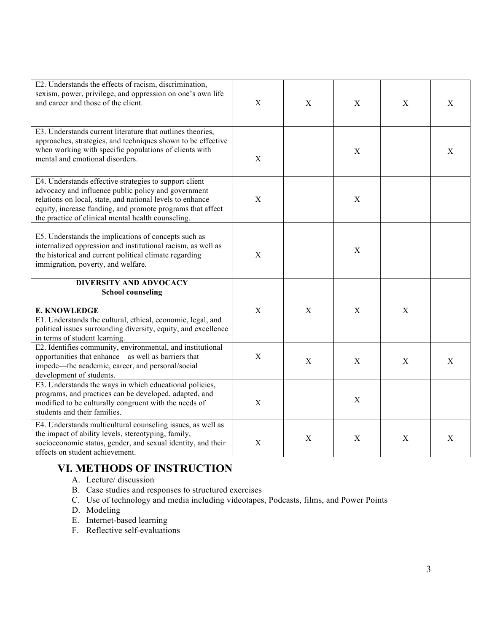| E2. Understands the effects of racism, discrimination,<br>sexism, power, privilege, and oppression on one's own life<br>and career and those of the client.                                                                                                                                    | $\mathbf X$ | $\mathbf X$  | $\mathbf X$  | $\mathbf X$ | $\mathbf X$ |
|------------------------------------------------------------------------------------------------------------------------------------------------------------------------------------------------------------------------------------------------------------------------------------------------|-------------|--------------|--------------|-------------|-------------|
| E3. Understands current literature that outlines theories,<br>approaches, strategies, and techniques shown to be effective<br>when working with specific populations of clients with<br>mental and emotional disorders.                                                                        | X           |              | $\mathbf X$  |             | $\mathbf X$ |
| E4. Understands effective strategies to support client<br>advocacy and influence public policy and government<br>relations on local, state, and national levels to enhance<br>equity, increase funding, and promote programs that affect<br>the practice of clinical mental health counseling. | X           |              | X            |             |             |
| E5. Understands the implications of concepts such as<br>internalized oppression and institutional racism, as well as<br>the historical and current political climate regarding<br>immigration, poverty, and welfare.                                                                           | $\mathbf X$ |              | X            |             |             |
| <b>DIVERSITY AND ADVOCACY</b><br><b>School counseling</b>                                                                                                                                                                                                                                      |             |              |              |             |             |
| <b>E. KNOWLEDGE</b><br>E1. Understands the cultural, ethical, economic, legal, and<br>political issues surrounding diversity, equity, and excellence<br>in terms of student learning.                                                                                                          | X           | $\mathbf{X}$ | $\mathbf{X}$ | $\mathbf X$ |             |
| E2. Identifies community, environmental, and institutional<br>opportunities that enhance—as well as barriers that<br>impede—the academic, career, and personal/social<br>development of students.                                                                                              | X           | $\mathbf{X}$ | $\mathbf{X}$ | X           | $\mathbf X$ |
| E3. Understands the ways in which educational policies,<br>programs, and practices can be developed, adapted, and<br>modified to be culturally congruent with the needs of<br>students and their families.                                                                                     | $\mathbf X$ |              | $\mathbf X$  |             |             |
| E4. Understands multicultural counseling issues, as well as<br>the impact of ability levels, stereotyping, family,<br>socioeconomic status, gender, and sexual identity, and their<br>effects on student achievement.                                                                          | $\mathbf X$ | $\mathbf X$  | X            | $\mathbf X$ | $\mathbf X$ |

# **VI. METHODS OF INSTRUCTION**

- A. Lecture/ discussion
- B. Case studies and responses to structured exercises
- C. Use of technology and media including videotapes, Podcasts, films, and Power Points
- D. Modeling
- E. Internet-based learning
- F. Reflective self-evaluations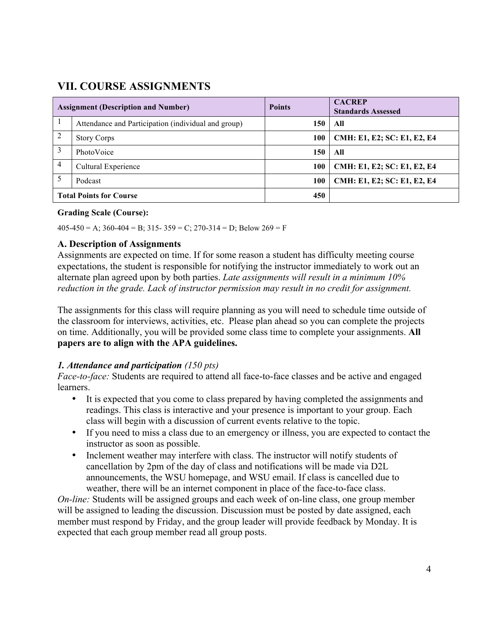### **VII. COURSE ASSIGNMENTS**

| <b>Assignment (Description and Number)</b> |                                                     | <b>Points</b> | <b>CACREP</b><br><b>Standards Assessed</b> |
|--------------------------------------------|-----------------------------------------------------|---------------|--------------------------------------------|
|                                            | Attendance and Participation (individual and group) | 150           | All                                        |
| 2                                          | <b>Story Corps</b>                                  | 100           | CMH: E1, E2; SC: E1, E2, E4                |
| 3                                          | PhotoVoice                                          | 150           | All                                        |
| 4                                          | Cultural Experience                                 | 100           | CMH: E1, E2; SC: E1, E2, E4                |
|                                            | Podcast                                             | 100           | CMH: E1, E2; SC: E1, E2, E4                |
| <b>Total Points for Course</b>             |                                                     | 450           |                                            |

#### **Grading Scale (Course):**

 $405-450 = A$ ;  $360-404 = B$ ;  $315-359 = C$ ;  $270-314 = D$ ; Below  $269 = F$ 

#### **A. Description of Assignments**

Assignments are expected on time. If for some reason a student has difficulty meeting course expectations, the student is responsible for notifying the instructor immediately to work out an alternate plan agreed upon by both parties. *Late assignments will result in a minimum 10% reduction in the grade. Lack of instructor permission may result in no credit for assignment.*

The assignments for this class will require planning as you will need to schedule time outside of the classroom for interviews, activities, etc. Please plan ahead so you can complete the projects on time. Additionally, you will be provided some class time to complete your assignments. **All papers are to align with the APA guidelines.** 

#### *1. Attendance and participation (150 pts)*

*Face-to-face:* Students are required to attend all face-to-face classes and be active and engaged learners.

- It is expected that you come to class prepared by having completed the assignments and readings. This class is interactive and your presence is important to your group. Each class will begin with a discussion of current events relative to the topic.
- If you need to miss a class due to an emergency or illness, you are expected to contact the instructor as soon as possible.
- Inclement weather may interfere with class. The instructor will notify students of cancellation by 2pm of the day of class and notifications will be made via D2L announcements, the WSU homepage, and WSU email. If class is cancelled due to weather, there will be an internet component in place of the face-to-face class.

*On-line:* Students will be assigned groups and each week of on-line class, one group member will be assigned to leading the discussion. Discussion must be posted by date assigned, each member must respond by Friday, and the group leader will provide feedback by Monday. It is expected that each group member read all group posts.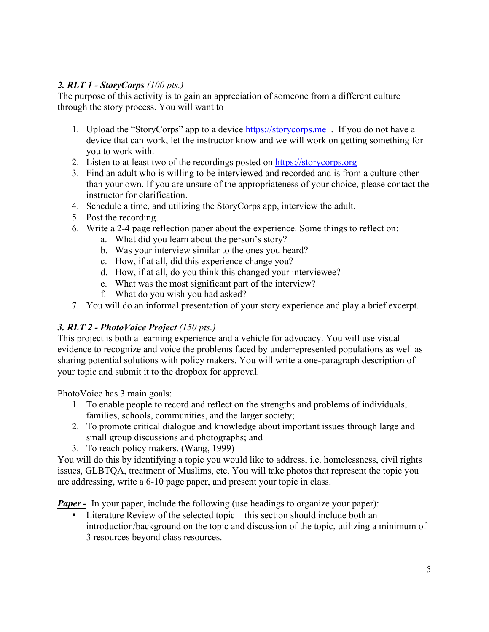#### *2. RLT 1 - StoryCorps (100 pts.)*

The purpose of this activity is to gain an appreciation of someone from a different culture through the story process. You will want to

- 1. Upload the "StoryCorps" app to a device https://storycorps.me . If you do not have a device that can work, let the instructor know and we will work on getting something for you to work with.
- 2. Listen to at least two of the recordings posted on https://storycorps.org
- 3. Find an adult who is willing to be interviewed and recorded and is from a culture other than your own. If you are unsure of the appropriateness of your choice, please contact the instructor for clarification.
- 4. Schedule a time, and utilizing the StoryCorps app, interview the adult.
- 5. Post the recording.
- 6. Write a 2-4 page reflection paper about the experience. Some things to reflect on:
	- a. What did you learn about the person's story?
	- b. Was your interview similar to the ones you heard?
	- c. How, if at all, did this experience change you?
	- d. How, if at all, do you think this changed your interviewee?
	- e. What was the most significant part of the interview?
	- f. What do you wish you had asked?
- 7. You will do an informal presentation of your story experience and play a brief excerpt.

#### *3. RLT 2 - PhotoVoice Project (150 pts.)*

This project is both a learning experience and a vehicle for advocacy. You will use visual evidence to recognize and voice the problems faced by underrepresented populations as well as sharing potential solutions with policy makers. You will write a one-paragraph description of your topic and submit it to the dropbox for approval.

PhotoVoice has 3 main goals:

- 1. To enable people to record and reflect on the strengths and problems of individuals, families, schools, communities, and the larger society;
- 2. To promote critical dialogue and knowledge about important issues through large and small group discussions and photographs; and
- 3. To reach policy makers. (Wang, 1999)

You will do this by identifying a topic you would like to address, i.e. homelessness, civil rights issues, GLBTQA, treatment of Muslims, etc. You will take photos that represent the topic you are addressing, write a 6-10 page paper, and present your topic in class.

*Paper* - In your paper, include the following (use headings to organize your paper):

Literature Review of the selected topic – this section should include both an introduction/background on the topic and discussion of the topic, utilizing a minimum of 3 resources beyond class resources.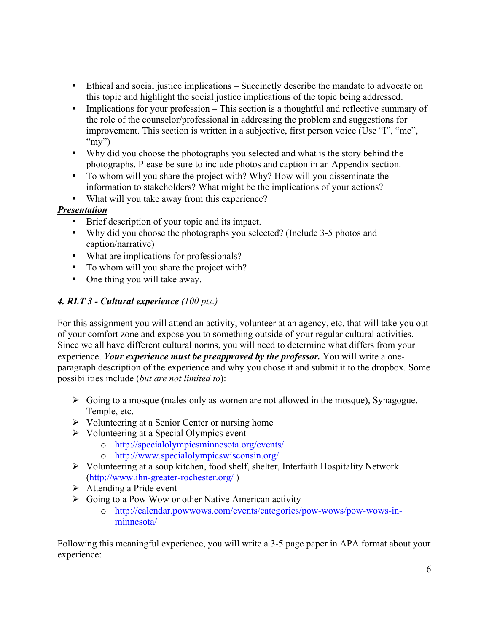- Ethical and social justice implications Succinctly describe the mandate to advocate on this topic and highlight the social justice implications of the topic being addressed.
- Implications for your profession This section is a thoughtful and reflective summary of the role of the counselor/professional in addressing the problem and suggestions for improvement. This section is written in a subjective, first person voice (Use "I", "me", " $my$ ")
- Why did you choose the photographs you selected and what is the story behind the photographs. Please be sure to include photos and caption in an Appendix section.
- To whom will you share the project with? Why? How will you disseminate the information to stakeholders? What might be the implications of your actions?
- What will you take away from this experience?

#### *Presentation*

- Brief description of your topic and its impact.
- Why did you choose the photographs you selected? (Include 3-5 photos and caption/narrative)
- What are implications for professionals?
- To whom will you share the project with?
- One thing you will take away.

#### *4. RLT 3 - Cultural experience (100 pts.)*

For this assignment you will attend an activity, volunteer at an agency, etc. that will take you out of your comfort zone and expose you to something outside of your regular cultural activities. Since we all have different cultural norms, you will need to determine what differs from your experience. *Your experience must be preapproved by the professor.* You will write a oneparagraph description of the experience and why you chose it and submit it to the dropbox. Some possibilities include (*but are not limited to*):

- $\triangleright$  Going to a mosque (males only as women are not allowed in the mosque), Synagogue, Temple, etc.
- $\triangleright$  Volunteering at a Senior Center or nursing home
- $\triangleright$  Volunteering at a Special Olympics event
	- o http://specialolympicsminnesota.org/events/
	- o http://www.specialolympicswisconsin.org/
- Ø Volunteering at a soup kitchen, food shelf, shelter, Interfaith Hospitality Network (http://www.ihn-greater-rochester.org/ )
- $\triangleright$  Attending a Pride event
- $\triangleright$  Going to a Pow Wow or other Native American activity
	- o http://calendar.powwows.com/events/categories/pow-wows/pow-wows-inminnesota/

Following this meaningful experience, you will write a 3-5 page paper in APA format about your experience: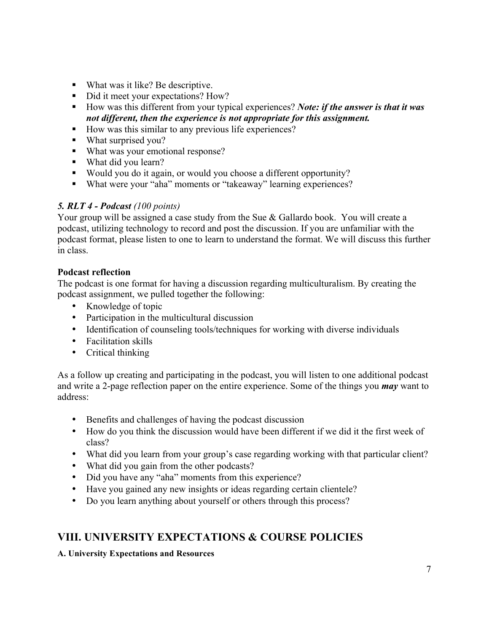- What was it like? Be descriptive.
- Did it meet your expectations? How?
- How was this different from your typical experiences? *Note: if the answer is that it was not different, then the experience is not appropriate for this assignment.*
- How was this similar to any previous life experiences?
- What surprised you?
- What was your emotional response?
- What did you learn?
- Would you do it again, or would you choose a different opportunity?
- What were your "aha" moments or "takeaway" learning experiences?

#### *5. RLT 4 - Podcast (100 points)*

Your group will be assigned a case study from the Sue & Gallardo book. You will create a podcast, utilizing technology to record and post the discussion. If you are unfamiliar with the podcast format, please listen to one to learn to understand the format. We will discuss this further in class.

#### **Podcast reflection**

The podcast is one format for having a discussion regarding multiculturalism. By creating the podcast assignment, we pulled together the following:

- Knowledge of topic
- Participation in the multicultural discussion
- Identification of counseling tools/techniques for working with diverse individuals
- Facilitation skills
- Critical thinking

As a follow up creating and participating in the podcast, you will listen to one additional podcast and write a 2-page reflection paper on the entire experience. Some of the things you *may* want to address:

- Benefits and challenges of having the podcast discussion
- How do you think the discussion would have been different if we did it the first week of class?
- What did you learn from your group's case regarding working with that particular client?
- What did you gain from the other podcasts?
- Did you have any "aha" moments from this experience?
- Have you gained any new insights or ideas regarding certain clientele?
- Do you learn anything about yourself or others through this process?

### **VIII. UNIVERSITY EXPECTATIONS & COURSE POLICIES**

#### **A. University Expectations and Resources**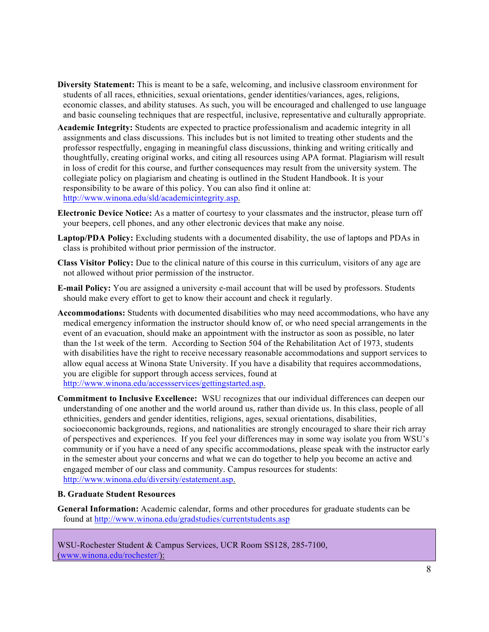- **Diversity Statement:** This is meant to be a safe, welcoming, and inclusive classroom environment for students of all races, ethnicities, sexual orientations, gender identities/variances, ages, religions, economic classes, and ability statuses. As such, you will be encouraged and challenged to use language and basic counseling techniques that are respectful, inclusive, representative and culturally appropriate.
- **Academic Integrity:** Students are expected to practice professionalism and academic integrity in all assignments and class discussions. This includes but is not limited to treating other students and the professor respectfully, engaging in meaningful class discussions, thinking and writing critically and thoughtfully, creating original works, and citing all resources using APA format. Plagiarism will result in loss of credit for this course, and further consequences may result from the university system. The collegiate policy on plagiarism and cheating is outlined in the Student Handbook. It is your responsibility to be aware of this policy. You can also find it online at: http://www.winona.edu/sld/academicintegrity.asp.
- **Electronic Device Notice:** As a matter of courtesy to your classmates and the instructor, please turn off your beepers, cell phones, and any other electronic devices that make any noise.
- **Laptop/PDA Policy:** Excluding students with a documented disability, the use of laptops and PDAs in class is prohibited without prior permission of the instructor.
- **Class Visitor Policy:** Due to the clinical nature of this course in this curriculum, visitors of any age are not allowed without prior permission of the instructor.
- **E-mail Policy:** You are assigned a university e-mail account that will be used by professors. Students should make every effort to get to know their account and check it regularly.
- **Accommodations:** Students with documented disabilities who may need accommodations, who have any medical emergency information the instructor should know of, or who need special arrangements in the event of an evacuation, should make an appointment with the instructor as soon as possible, no later than the 1st week of the term. According to Section 504 of the Rehabilitation Act of 1973, students with disabilities have the right to receive necessary reasonable accommodations and support services to allow equal access at Winona State University. If you have a disability that requires accommodations, you are eligible for support through access services, found at http://www.winona.edu/accessservices/gettingstarted.asp.
- **Commitment to Inclusive Excellence:** WSU recognizes that our individual differences can deepen our understanding of one another and the world around us, rather than divide us. In this class, people of all ethnicities, genders and gender identities, religions, ages, sexual orientations, disabilities, socioeconomic backgrounds, regions, and nationalities are strongly encouraged to share their rich array of perspectives and experiences. If you feel your differences may in some way isolate you from WSU's community or if you have a need of any specific accommodations, please speak with the instructor early in the semester about your concerns and what we can do together to help you become an active and engaged member of our class and community. Campus resources for students: http://www.winona.edu/diversity/estatement.asp.

#### **B. Graduate Student Resources**

**General Information:** Academic calendar, forms and other procedures for graduate students can be found at http://www.winona.edu/gradstudies/currentstudents.asp

WSU-Rochester Student & Campus Services, UCR Room SS128, 285-7100, (www.winona.edu/rochester/):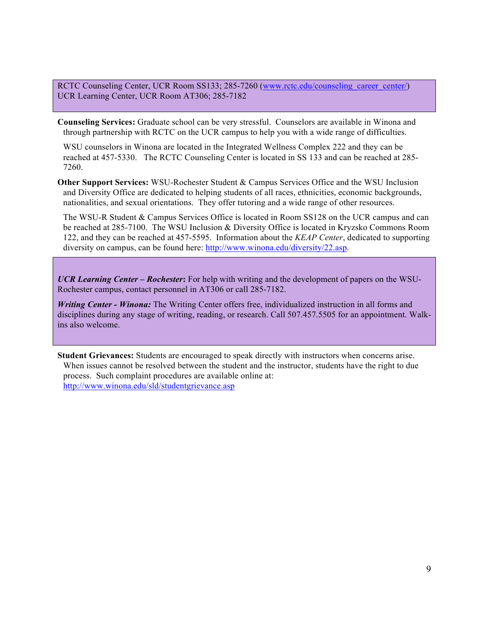RCTC Counseling Center, UCR Room SS133; 285-7260 (www.rctc.edu/counseling\_career\_center/) UCR Learning Center, UCR Room AT306; 285-7182

**Counseling Services:** Graduate school can be very stressful. Counselors are available in Winona and through partnership with RCTC on the UCR campus to help you with a wide range of difficulties.

WSU counselors in Winona are located in the Integrated Wellness Complex 222 and they can be reached at 457-5330. The RCTC Counseling Center is located in SS 133 and can be reached at 285- 7260.

**Other Support Services:** WSU-Rochester Student & Campus Services Office and the WSU Inclusion and Diversity Office are dedicated to helping students of all races, ethnicities, economic backgrounds, nationalities, and sexual orientations. They offer tutoring and a wide range of other resources.

The WSU-R Student & Campus Services Office is located in Room SS128 on the UCR campus and can be reached at 285-7100. The WSU Inclusion & Diversity Office is located in Kryzsko Commons Room 122, and they can be reached at 457-5595. Information about the *KEAP Center*, dedicated to supporting diversity on campus, can be found here: http://www.winona.edu/diversity/22.asp.

*UCR Learning Center – Rochester***:** For help with writing and the development of papers on the WSU-Rochester campus, contact personnel in AT306 or call 285-7182.

*Writing Center - Winona:* The Writing Center offers free, individualized instruction in all forms and disciplines during any stage of writing, reading, or research. Call 507.457.5505 for an appointment. Walkins also welcome.

**Student Grievances:** Students are encouraged to speak directly with instructors when concerns arise. When issues cannot be resolved between the student and the instructor, students have the right to due process. Such complaint procedures are available online at: http://www.winona.edu/sld/studentgrievance.asp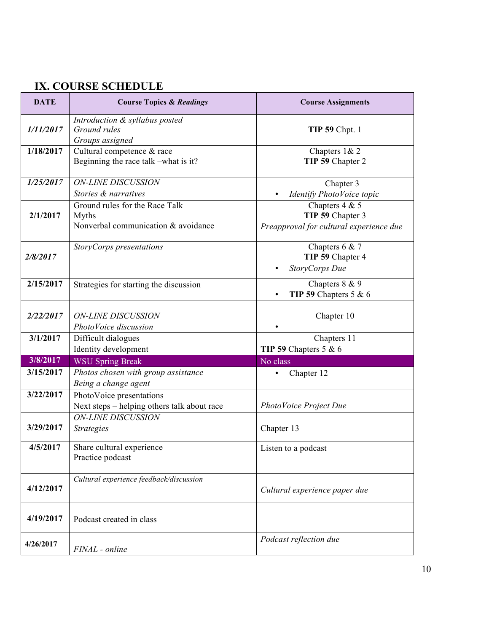# **IX. COURSE SCHEDULE**

| <b>DATE</b> | <b>Course Topics &amp; Readings</b>                                            | <b>Course Assignments</b>                                                       |
|-------------|--------------------------------------------------------------------------------|---------------------------------------------------------------------------------|
| 1/11/2017   | Introduction & syllabus posted<br>Ground rules<br>Groups assigned              | <b>TIP 59 Chpt. 1</b>                                                           |
| 1/18/2017   | Cultural competence & race<br>Beginning the race talk -what is it?             | Chapters 1& 2<br>TIP 59 Chapter 2                                               |
| 1/25/2017   | <b>ON-LINE DISCUSSION</b><br>Stories & narratives                              | Chapter 3<br>Identify PhotoVoice topic                                          |
| 2/1/2017    | Ground rules for the Race Talk<br>Myths<br>Nonverbal communication & avoidance | Chapters $4 & 5$<br>TIP 59 Chapter 3<br>Preapproval for cultural experience due |
| 2/8/2017    | StoryCorps presentations                                                       | Chapters $6 & 7$<br>TIP 59 Chapter 4<br>StoryCorps Due                          |
| 2/15/2017   | Strategies for starting the discussion                                         | Chapters 8 & 9<br>TIP 59 Chapters 5 & $6$                                       |
| 2/22/2017   | <b>ON-LINE DISCUSSION</b><br>PhotoVoice discussion                             | Chapter 10                                                                      |
| 3/1/2017    | Difficult dialogues<br>Identity development                                    | Chapters $\overline{11}$<br>TIP 59 Chapters $5 & 6$                             |
| 3/8/2017    | <b>WSU Spring Break</b>                                                        | No class                                                                        |
| 3/15/2017   | Photos chosen with group assistance<br>Being a change agent                    | Chapter 12                                                                      |
| 3/22/2017   | PhotoVoice presentations<br>Next steps – helping others talk about race        | PhotoVoice Project Due                                                          |
| 3/29/2017   | <b>ON-LINE DISCUSSION</b><br><b>Strategies</b>                                 | Chapter 13                                                                      |
| 4/5/2017    | Share cultural experience<br>Practice podcast                                  | Listen to a podcast                                                             |
| 4/12/2017   | Cultural experience feedback/discussion                                        | Cultural experience paper due                                                   |
| 4/19/2017   | Podcast created in class                                                       |                                                                                 |
| 4/26/2017   | FINAL - online                                                                 | Podcast reflection due                                                          |